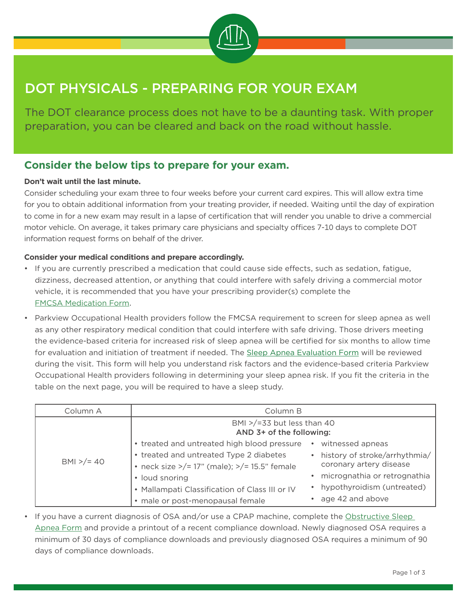

# DOT PHYSICALS - PREPARING FOR YOUR EXAM

The DOT clearance process does not have to be a daunting task. With proper preparation, you can be cleared and back on the road without hassle.

# **Consider the below tips to prepare for your exam.**

## **Don't wait until the last minute.**

Consider scheduling your exam three to four weeks before your current card expires. This will allow extra time for you to obtain additional information from your treating provider, if needed. Waiting until the day of expiration to come in for a new exam may result in a lapse of certification that will render you unable to drive a commercial motor vehicle. On average, it takes primary care physicians and specialty offices 7-10 days to complete DOT information request forms on behalf of the driver.

# **Consider your medical conditions and prepare accordingly.**

- If you are currently prescribed a medication that could cause side effects, such as sedation, fatigue, dizziness, decreased attention, or anything that could interfere with safely driving a commercial motor vehicle, it is recommended that you have your prescribing provider(s) complete the [FMCSA Medication Form](https://www.fmcsa.dot.gov/regulations/medical/39141-cmv-driver-medication-form-mcsa-5895-optional).
- Parkview Occupational Health providers follow the FMCSA requirement to screen for sleep apnea as well as any other respiratory medical condition that could interfere with safe driving. Those drivers meeting the evidence-based criteria for increased risk of sleep apnea will be certified for six months to allow time for evaluation and initiation of treatment if needed. The [Sleep Apnea Evaluation Form](https://www.parkview.com/media/file/Sleep%20Apnea%20Evaluation.pdf) will be reviewed during the visit. This form will help you understand risk factors and the evidence-based criteria Parkview Occupational Health providers following in determining your sleep apnea risk. If you fit the criteria in the table on the next page, you will be required to have a sleep study.

| Column A     | Column B                                                                                      |                                                            |
|--------------|-----------------------------------------------------------------------------------------------|------------------------------------------------------------|
| $BMI > = 40$ | BMI $>$ /=33 but less than 40<br>AND 3+ of the following:                                     |                                                            |
|              | • treated and untreated high blood pressure                                                   | witnessed apneas                                           |
|              | • treated and untreated Type 2 diabetes<br>• neck size $>$ /= 17" (male); $>$ /= 15.5" female | • history of stroke/arrhythmia/<br>coronary artery disease |
|              | • loud snoring                                                                                | micrognathia or retrognathia                               |
|              | • Mallampati Classification of Class III or IV                                                | • hypothyroidism (untreated)                               |
|              | · male or post-menopausal female                                                              | • age 42 and above                                         |

• If you have a current diagnosis of OSA and/or use a CPAP machine, complete the Obstructive Sleep [Apnea Form](https://www.parkview.com/media/file/DOT%20Obstructive%20Sleep%20Apnea%2012-2.pdf) and provide a printout of a recent compliance download. Newly diagnosed OSA requires a minimum of 30 days of compliance downloads and previously diagnosed OSA requires a minimum of 90 days of compliance downloads.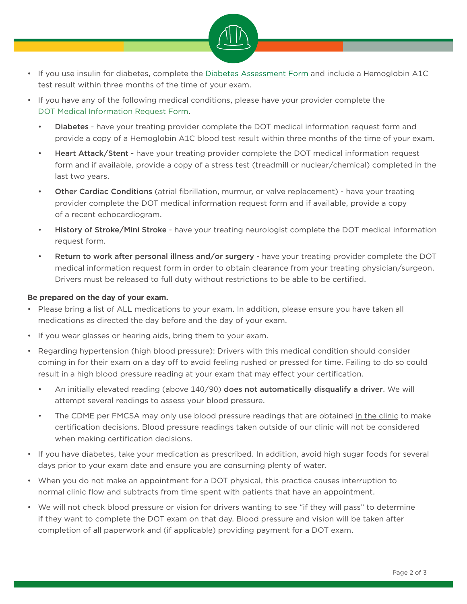

- If you use insulin for diabetes, complete the [Diabetes Assessment Form](https://www.fmcsa.dot.gov/regulations/medical/insulin-treated-diabetes-mellitus-assessment-form-mcsa-5870) and include a Hemoglobin A1C test result within three months of the time of your exam.
- If you have any of the following medical conditions, please have your provider complete the [DOT Medical Information Request Form](https://www.parkview.com/media/file/DOT%20Information%20Request%209-18-2020.pdf).
	- Diabetes have your treating provider complete the DOT medical information request form and provide a copy of a Hemoglobin A1C blood test result within three months of the time of your exam.
	- Heart Attack/Stent have your treating provider complete the DOT medical information request form and if available, provide a copy of a stress test (treadmill or nuclear/chemical) completed in the last two years.
	- Other Cardiac Conditions (atrial fibrillation, murmur, or valve replacement) have your treating provider complete the DOT medical information request form and if available, provide a copy of a recent echocardiogram.
	- History of Stroke/Mini Stroke have your treating neurologist complete the DOT medical information request form.
	- Return to work after personal illness and/or surgery have your treating provider complete the DOT medical information request form in order to obtain clearance from your treating physician/surgeon. Drivers must be released to full duty without restrictions to be able to be certified.

# **Be prepared on the day of your exam.**

- Please bring a list of ALL medications to your exam. In addition, please ensure you have taken all medications as directed the day before and the day of your exam.
- If you wear glasses or hearing aids, bring them to your exam.
- Regarding hypertension (high blood pressure): Drivers with this medical condition should consider coming in for their exam on a day off to avoid feeling rushed or pressed for time. Failing to do so could result in a high blood pressure reading at your exam that may effect your certification.
	- An initially elevated reading (above 140/90) does not automatically disqualify a driver. We will attempt several readings to assess your blood pressure.
	- The CDME per FMCSA may only use blood pressure readings that are obtained in the clinic to make certification decisions. Blood pressure readings taken outside of our clinic will not be considered when making certification decisions.
- If you have diabetes, take your medication as prescribed. In addition, avoid high sugar foods for several days prior to your exam date and ensure you are consuming plenty of water.
- When you do not make an appointment for a DOT physical, this practice causes interruption to normal clinic flow and subtracts from time spent with patients that have an appointment.
- We will not check blood pressure or vision for drivers wanting to see "if they will pass" to determine if they want to complete the DOT exam on that day. Blood pressure and vision will be taken after completion of all paperwork and (if applicable) providing payment for a DOT exam.